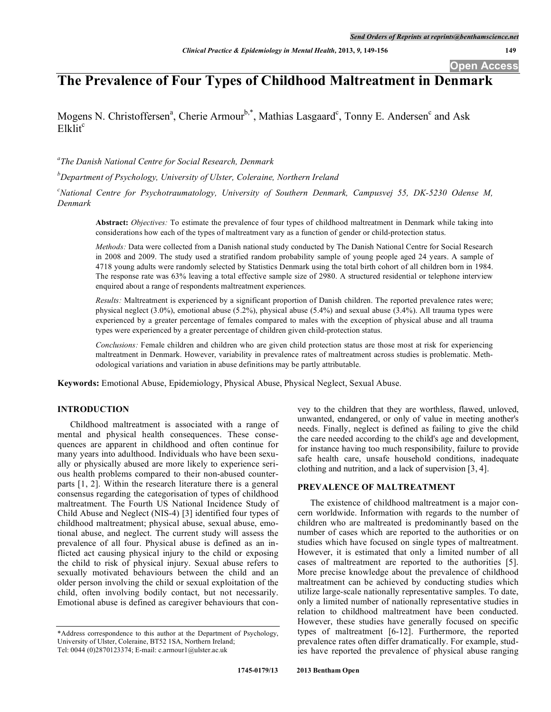# **The Prevalence of Four Types of Childhood Maltreatment in Denmark**

Mogens N. Christoffersen<sup>a</sup>, Cherie Armour<sup>b,\*</sup>, Mathias Lasgaard<sup>c</sup>, Tonny E. Andersen<sup>c</sup> and Ask Elklit<sup>c</sup>

*a The Danish National Centre for Social Research, Denmark*

*b Department of Psychology, University of Ulster, Coleraine, Northern Ireland*

*c National Centre for Psychotraumatology, University of Southern Denmark, Campusvej 55, DK-5230 Odense M, Denmark*

**Abstract:** *Objectives:* To estimate the prevalence of four types of childhood maltreatment in Denmark while taking into considerations how each of the types of maltreatment vary as a function of gender or child-protection status.

*Methods:* Data were collected from a Danish national study conducted by The Danish National Centre for Social Research in 2008 and 2009. The study used a stratified random probability sample of young people aged 24 years. A sample of 4718 young adults were randomly selected by Statistics Denmark using the total birth cohort of all children born in 1984. The response rate was 63% leaving a total effective sample size of 2980. A structured residential or telephone interview enquired about a range of respondents maltreatment experiences.

*Results:* Maltreatment is experienced by a significant proportion of Danish children. The reported prevalence rates were; physical neglect  $(3.0\%)$ , emotional abuse  $(5.2\%)$ , physical abuse  $(5.4\%)$  and sexual abuse  $(3.4\%)$ . All trauma types were experienced by a greater percentage of females compared to males with the exception of physical abuse and all trauma types were experienced by a greater percentage of children given child-protection status.

*Conclusions:* Female children and children who are given child protection status are those most at risk for experiencing maltreatment in Denmark. However, variability in prevalence rates of maltreatment across studies is problematic. Methodological variations and variation in abuse definitions may be partly attributable.

**Keywords:** Emotional Abuse, Epidemiology, Physical Abuse, Physical Neglect, Sexual Abuse.

# **INTRODUCTION**

Childhood maltreatment is associated with a range of mental and physical health consequences. These consequences are apparent in childhood and often continue for many years into adulthood. Individuals who have been sexually or physically abused are more likely to experience serious health problems compared to their non-abused counterparts [1, 2]. Within the research literature there is a general consensus regarding the categorisation of types of childhood maltreatment. The Fourth US National Incidence Study of Child Abuse and Neglect (NIS-4) [3] identified four types of childhood maltreatment; physical abuse, sexual abuse, emotional abuse, and neglect. The current study will assess the prevalence of all four. Physical abuse is defined as an inflicted act causing physical injury to the child or exposing the child to risk of physical injury. Sexual abuse refers to sexually motivated behaviours between the child and an older person involving the child or sexual exploitation of the child, often involving bodily contact, but not necessarily. Emotional abuse is defined as caregiver behaviours that convey to the children that they are worthless, flawed, unloved, unwanted, endangered, or only of value in meeting another's needs. Finally, neglect is defined as failing to give the child the care needed according to the child's age and development, for instance having too much responsibility, failure to provide safe health care, unsafe household conditions, inadequate clothing and nutrition, and a lack of supervision [3, 4].

### **PREVALENCE OF MALTREATMENT**

The existence of childhood maltreatment is a major concern worldwide. Information with regards to the number of children who are maltreated is predominantly based on the number of cases which are reported to the authorities or on studies which have focused on single types of maltreatment. However, it is estimated that only a limited number of all cases of maltreatment are reported to the authorities [5]. More precise knowledge about the prevalence of childhood maltreatment can be achieved by conducting studies which utilize large-scale nationally representative samples. To date, only a limited number of nationally representative studies in relation to childhood maltreatment have been conducted. However, these studies have generally focused on specific types of maltreatment [6-12]. Furthermore, the reported prevalence rates often differ dramatically. For example, studies have reported the prevalence of physical abuse ranging

<sup>\*</sup>Address correspondence to this author at the Department of Psychology, University of Ulster, Coleraine, BT52 1SA, Northern Ireland; Tel: 0044 (0)2870123374; E-mail: c.armour1@ulster.ac.uk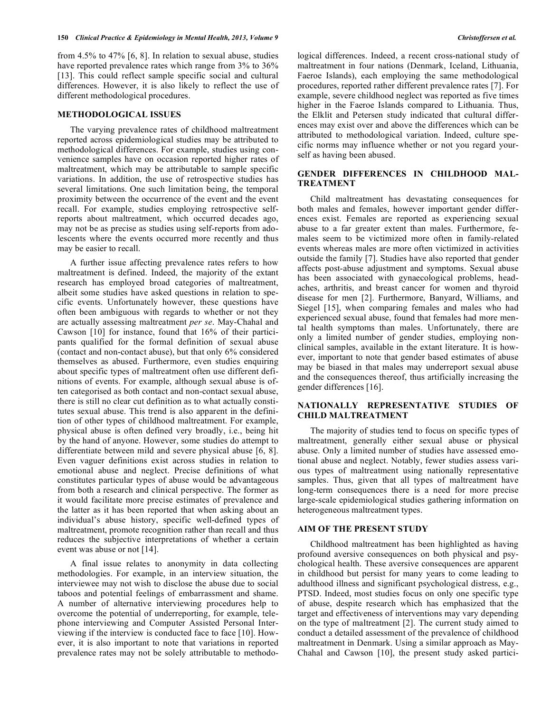from 4.5% to 47% [6, 8]. In relation to sexual abuse, studies have reported prevalence rates which range from 3% to 36% [13]. This could reflect sample specific social and cultural differences. However, it is also likely to reflect the use of different methodological procedures.

# **METHODOLOGICAL ISSUES**

The varying prevalence rates of childhood maltreatment reported across epidemiological studies may be attributed to methodological differences. For example, studies using convenience samples have on occasion reported higher rates of maltreatment, which may be attributable to sample specific variations. In addition, the use of retrospective studies has several limitations. One such limitation being, the temporal proximity between the occurrence of the event and the event recall. For example, studies employing retrospective selfreports about maltreatment, which occurred decades ago, may not be as precise as studies using self-reports from adolescents where the events occurred more recently and thus may be easier to recall.

A further issue affecting prevalence rates refers to how maltreatment is defined. Indeed, the majority of the extant research has employed broad categories of maltreatment, albeit some studies have asked questions in relation to specific events. Unfortunately however, these questions have often been ambiguous with regards to whether or not they are actually assessing maltreatment *per se*. May-Chahal and Cawson [10] for instance, found that 16% of their participants qualified for the formal definition of sexual abuse (contact and non-contact abuse), but that only 6% considered themselves as abused. Furthermore, even studies enquiring about specific types of maltreatment often use different definitions of events. For example, although sexual abuse is often categorised as both contact and non-contact sexual abuse, there is still no clear cut definition as to what actually constitutes sexual abuse. This trend is also apparent in the definition of other types of childhood maltreatment. For example, physical abuse is often defined very broadly, i.e., being hit by the hand of anyone. However, some studies do attempt to differentiate between mild and severe physical abuse [6, 8]. Even vaguer definitions exist across studies in relation to emotional abuse and neglect. Precise definitions of what constitutes particular types of abuse would be advantageous from both a research and clinical perspective. The former as it would facilitate more precise estimates of prevalence and the latter as it has been reported that when asking about an individual's abuse history, specific well-defined types of maltreatment, promote recognition rather than recall and thus reduces the subjective interpretations of whether a certain event was abuse or not [14].

A final issue relates to anonymity in data collecting methodologies. For example, in an interview situation, the interviewee may not wish to disclose the abuse due to social taboos and potential feelings of embarrassment and shame. A number of alternative interviewing procedures help to overcome the potential of underreporting, for example, telephone interviewing and Computer Assisted Personal Interviewing if the interview is conducted face to face [10]. However, it is also important to note that variations in reported prevalence rates may not be solely attributable to methodological differences. Indeed, a recent cross-national study of maltreatment in four nations (Denmark, Iceland, Lithuania, Faeroe Islands), each employing the same methodological procedures, reported rather different prevalence rates [7]. For example, severe childhood neglect was reported as five times higher in the Faeroe Islands compared to Lithuania. Thus, the Elklit and Petersen study indicated that cultural differences may exist over and above the differences which can be attributed to methodological variation. Indeed, culture specific norms may influence whether or not you regard yourself as having been abused.

# **GENDER DIFFERENCES IN CHILDHOOD MAL-TREATMENT**

Child maltreatment has devastating consequences for both males and females, however important gender differences exist. Females are reported as experiencing sexual abuse to a far greater extent than males. Furthermore, females seem to be victimized more often in family-related events whereas males are more often victimized in activities outside the family [7]. Studies have also reported that gender affects post-abuse adjustment and symptoms. Sexual abuse has been associated with gynaecological problems, headaches, arthritis, and breast cancer for women and thyroid disease for men [2]. Furthermore, Banyard, Williams, and Siegel [15], when comparing females and males who had experienced sexual abuse, found that females had more mental health symptoms than males. Unfortunately, there are only a limited number of gender studies, employing nonclinical samples, available in the extant literature. It is however, important to note that gender based estimates of abuse may be biased in that males may underreport sexual abuse and the consequences thereof, thus artificially increasing the gender differences [16].

# **NATIONALLY REPRESENTATIVE STUDIES OF CHILD MALTREATMENT**

The majority of studies tend to focus on specific types of maltreatment, generally either sexual abuse or physical abuse. Only a limited number of studies have assessed emotional abuse and neglect. Notably, fewer studies assess various types of maltreatment using nationally representative samples. Thus, given that all types of maltreatment have long-term consequences there is a need for more precise large-scale epidemiological studies gathering information on heterogeneous maltreatment types.

# **AIM OF THE PRESENT STUDY**

Childhood maltreatment has been highlighted as having profound aversive consequences on both physical and psychological health. These aversive consequences are apparent in childhood but persist for many years to come leading to adulthood illness and significant psychological distress, e.g., PTSD. Indeed, most studies focus on only one specific type of abuse, despite research which has emphasized that the target and effectiveness of interventions may vary depending on the type of maltreatment [2]. The current study aimed to conduct a detailed assessment of the prevalence of childhood maltreatment in Denmark. Using a similar approach as May-Chahal and Cawson [10], the present study asked partici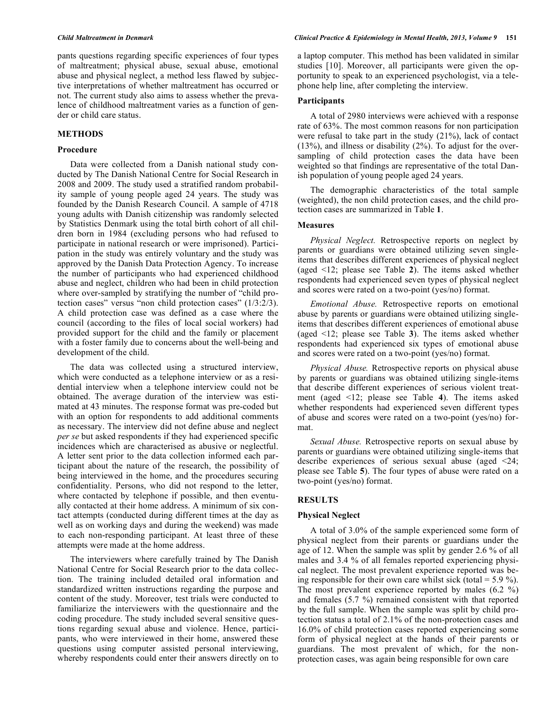pants questions regarding specific experiences of four types of maltreatment; physical abuse, sexual abuse, emotional abuse and physical neglect, a method less flawed by subjective interpretations of whether maltreatment has occurred or not. The current study also aims to assess whether the prevalence of childhood maltreatment varies as a function of gender or child care status.

# **METHODS**

### **Procedure**

Data were collected from a Danish national study conducted by The Danish National Centre for Social Research in 2008 and 2009. The study used a stratified random probability sample of young people aged 24 years. The study was founded by the Danish Research Council. A sample of 4718 young adults with Danish citizenship was randomly selected by Statistics Denmark using the total birth cohort of all children born in 1984 (excluding persons who had refused to participate in national research or were imprisoned). Participation in the study was entirely voluntary and the study was approved by the Danish Data Protection Agency. To increase the number of participants who had experienced childhood abuse and neglect, children who had been in child protection where over-sampled by stratifying the number of "child protection cases" versus "non child protection cases" (1/3:2/3). A child protection case was defined as a case where the council (according to the files of local social workers) had provided support for the child and the family or placement with a foster family due to concerns about the well-being and development of the child.

The data was collected using a structured interview, which were conducted as a telephone interview or as a residential interview when a telephone interview could not be obtained. The average duration of the interview was estimated at 43 minutes. The response format was pre-coded but with an option for respondents to add additional comments as necessary. The interview did not define abuse and neglect *per se* but asked respondents if they had experienced specific incidences which are characterised as abusive or neglectful. A letter sent prior to the data collection informed each participant about the nature of the research, the possibility of being interviewed in the home, and the procedures securing confidentiality. Persons, who did not respond to the letter, where contacted by telephone if possible, and then eventually contacted at their home address. A minimum of six contact attempts (conducted during different times at the day as well as on working days and during the weekend) was made to each non-responding participant. At least three of these attempts were made at the home address.

The interviewers where carefully trained by The Danish National Centre for Social Research prior to the data collection. The training included detailed oral information and standardized written instructions regarding the purpose and content of the study. Moreover, test trials were conducted to familiarize the interviewers with the questionnaire and the coding procedure. The study included several sensitive questions regarding sexual abuse and violence. Hence, participants, who were interviewed in their home, answered these questions using computer assisted personal interviewing, whereby respondents could enter their answers directly on to

a laptop computer. This method has been validated in similar studies [10]. Moreover, all participants were given the opportunity to speak to an experienced psychologist, via a telephone help line, after completing the interview.

#### **Participants**

A total of 2980 interviews were achieved with a response rate of 63%. The most common reasons for non participation were refusal to take part in the study (21%), lack of contact (13%), and illness or disability (2%). To adjust for the oversampling of child protection cases the data have been weighted so that findings are representative of the total Danish population of young people aged 24 years.

The demographic characteristics of the total sample (weighted), the non child protection cases, and the child protection cases are summarized in Table **1**.

# **Measures**

*Physical Neglect.* Retrospective reports on neglect by parents or guardians were obtained utilizing seven singleitems that describes different experiences of physical neglect (aged <12; please see Table **2**). The items asked whether respondents had experienced seven types of physical neglect and scores were rated on a two-point (yes/no) format.

*Emotional Abuse.* Retrospective reports on emotional abuse by parents or guardians were obtained utilizing singleitems that describes different experiences of emotional abuse (aged <12; please see Table **3**). The items asked whether respondents had experienced six types of emotional abuse and scores were rated on a two-point (yes/no) format.

*Physical Abuse.* Retrospective reports on physical abuse by parents or guardians was obtained utilizing single-items that describe different experiences of serious violent treatment (aged <12; please see Table **4**). The items asked whether respondents had experienced seven different types of abuse and scores were rated on a two-point (yes/no) format.

*Sexual Abuse.* Retrospective reports on sexual abuse by parents or guardians were obtained utilizing single-items that describe experiences of serious sexual abuse (aged <24; please see Table **5**). The four types of abuse were rated on a two-point (yes/no) format.

# **RESULTS**

# **Physical Neglect**

A total of 3.0% of the sample experienced some form of physical neglect from their parents or guardians under the age of 12. When the sample was split by gender 2.6 % of all males and 3.4 % of all females reported experiencing physical neglect. The most prevalent experience reported was being responsible for their own care whilst sick (total =  $5.9 \%$ ). The most prevalent experience reported by males (6.2 %) and females (5.7 %) remained consistent with that reported by the full sample. When the sample was split by child protection status a total of 2.1% of the non-protection cases and 16.0% of child protection cases reported experiencing some form of physical neglect at the hands of their parents or guardians. The most prevalent of which, for the nonprotection cases, was again being responsible for own care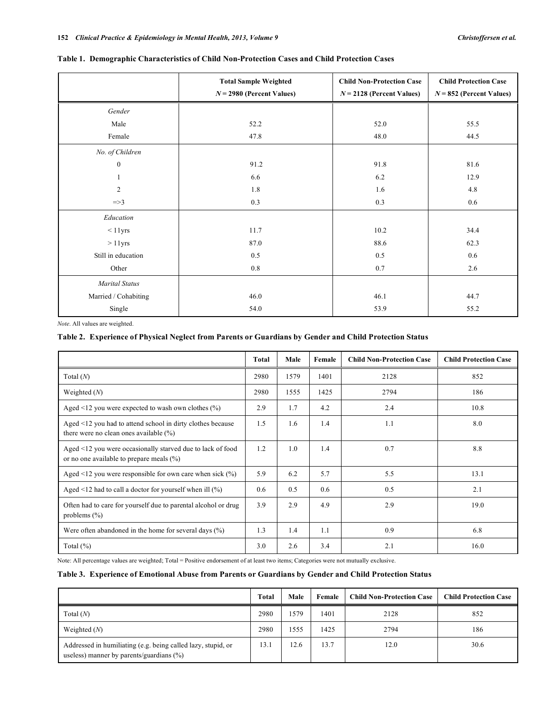|                       | <b>Total Sample Weighted</b><br>$N = 2980$ (Percent Values) | <b>Child Non-Protection Case</b><br>$N = 2128$ (Percent Values) | <b>Child Protection Case</b><br>$N = 852$ (Percent Values) |
|-----------------------|-------------------------------------------------------------|-----------------------------------------------------------------|------------------------------------------------------------|
| Gender                |                                                             |                                                                 |                                                            |
|                       |                                                             |                                                                 |                                                            |
| Male                  | 52.2                                                        | 52.0                                                            | 55.5                                                       |
| Female                | 47.8                                                        | 48.0                                                            | 44.5                                                       |
| No. of Children       |                                                             |                                                                 |                                                            |
| $\boldsymbol{0}$      | 91.2                                                        | 91.8                                                            | 81.6                                                       |
|                       | 6.6                                                         | 6.2                                                             | 12.9                                                       |
| $\overline{c}$        | 1.8                                                         | 1.6                                                             | 4.8                                                        |
| $\Rightarrow$ 3       | 0.3                                                         | 0.3                                                             | 0.6                                                        |
| Education             |                                                             |                                                                 |                                                            |
| $< 11$ yrs            | 11.7                                                        | 10.2                                                            | 34.4                                                       |
| $>11$ yrs             | 87.0                                                        | 88.6                                                            | 62.3                                                       |
| Still in education    | 0.5                                                         | 0.5                                                             | 0.6                                                        |
| Other                 | $0.8\,$                                                     | 0.7                                                             | 2.6                                                        |
| <b>Marital Status</b> |                                                             |                                                                 |                                                            |
| Married / Cohabiting  | 46.0                                                        | 46.1                                                            | 44.7                                                       |
| Single                | 54.0                                                        | 53.9                                                            | 55.2                                                       |

# **Table 1. Demographic Characteristics of Child Non-Protection Cases and Child Protection Cases**

*Note*. All values are weighted.

# **Table 2. Experience of Physical Neglect from Parents or Guardians by Gender and Child Protection Status**

|                                                                                                         | Total | Male | Female | <b>Child Non-Protection Case</b> | <b>Child Protection Case</b> |
|---------------------------------------------------------------------------------------------------------|-------|------|--------|----------------------------------|------------------------------|
| Total $(N)$                                                                                             | 2980  | 1579 | 1401   | 2128                             | 852                          |
| Weighted $(N)$                                                                                          | 2980  | 1555 | 1425   | 2794                             | 186                          |
| Aged $\leq$ 12 you were expected to wash own clothes (%)                                                | 2.9   | 1.7  | 4.2    | 2.4                              | 10.8                         |
| Aged <12 you had to attend school in dirty clothes because<br>there were no clean ones available $(\%)$ | 1.5   | 1.6  | 1.4    | 1.1                              | 8.0                          |
| Aged <12 you were occasionally starved due to lack of food<br>or no one available to prepare meals (%)  | 1.2   | 1.0  | 1.4    | 0.7                              | 8.8                          |
| Aged <12 you were responsible for own care when sick $(\%)$                                             | 5.9   | 6.2  | 5.7    | 5.5                              | 13.1                         |
| Aged <12 had to call a doctor for yourself when ill $(\%)$                                              | 0.6   | 0.5  | 0.6    | 0.5                              | 2.1                          |
| Often had to care for yourself due to parental alcohol or drug<br>problems $(\% )$                      | 3.9   | 2.9  | 4.9    | 2.9                              | 19.0                         |
| Were often abandoned in the home for several days $(\%)$                                                | 1.3   | 1.4  | 1.1    | 0.9                              | 6.8                          |
| Total $(\% )$                                                                                           | 3.0   | 2.6  | 3.4    | 2.1                              | 16.0                         |

Note: All percentage values are weighted; Total = Positive endorsement of at least two items; Categories were not mutually exclusive.

# **Table 3. Experience of Emotional Abuse from Parents or Guardians by Gender and Child Protection Status**

|                                                                                                             | <b>Total</b> | Male | Female | <b>Child Non-Protection Case</b> | <b>Child Protection Case</b> |
|-------------------------------------------------------------------------------------------------------------|--------------|------|--------|----------------------------------|------------------------------|
| Total $(N)$                                                                                                 | 2980         | 1579 | 1401   | 2128                             | 852                          |
| Weighted $(N)$                                                                                              | 2980         | 1555 | 1425   | 2794                             | 186                          |
| Addressed in humiliating (e.g. being called lazy, stupid, or<br>useless) manner by parents/guardians $(\%)$ | 13.1         | 12.6 | 13.7   | 12.0                             | 30.6                         |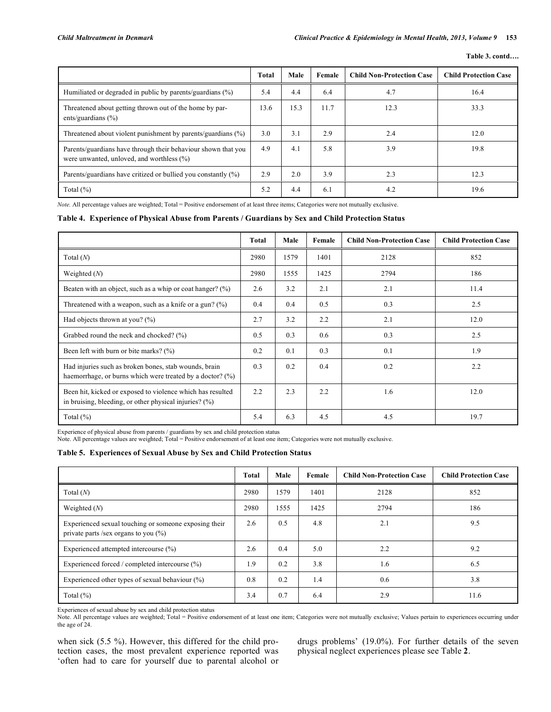**Table 3. contd….**

|                                                                                                               | Total | Male | Female | <b>Child Non-Protection Case</b> | <b>Child Protection Case</b> |
|---------------------------------------------------------------------------------------------------------------|-------|------|--------|----------------------------------|------------------------------|
| Humiliated or degraded in public by parents/guardians (%)                                                     | 5.4   | 4.4  | 6.4    | 4.7                              | 16.4                         |
| Threatened about getting thrown out of the home by par-<br>ents/guardians $(\% )$                             | 13.6  | 15.3 | 11.7   | 12.3                             | 33.3                         |
| Threatened about violent punishment by parents/guardians (%)                                                  | 3.0   | 3.1  | 2.9    | 2.4                              | 12.0                         |
| Parents/guardians have through their behaviour shown that you<br>were unwanted, unloved, and worthless $(\%)$ | 4.9   | 4.1  | 5.8    | 3.9                              | 19.8                         |
| Parents/guardians have critized or bullied you constantly (%)                                                 | 2.9   | 2.0  | 3.9    | 2.3                              | 12.3                         |
| Total $(\% )$                                                                                                 | 5.2   | 4.4  | 6.1    | 4.2                              | 19.6                         |

*Note.* All percentage values are weighted; Total = Positive endorsement of at least three items; Categories were not mutually exclusive.

# **Table 4. Experience of Physical Abuse from Parents / Guardians by Sex and Child Protection Status**

|                                                                                                                          | Total | Male | Female | <b>Child Non-Protection Case</b> | <b>Child Protection Case</b> |
|--------------------------------------------------------------------------------------------------------------------------|-------|------|--------|----------------------------------|------------------------------|
| Total $(N)$                                                                                                              | 2980  | 1579 | 1401   | 2128                             | 852                          |
| Weighted $(N)$                                                                                                           | 2980  | 1555 | 1425   | 2794                             | 186                          |
| Beaten with an object, such as a whip or coat hanger? $(\%)$                                                             | 2.6   | 3.2  | 2.1    | 2.1                              | 11.4                         |
| Threatened with a weapon, such as a knife or a gun? $(\%)$                                                               |       | 0.4  | 0.5    | 0.3                              | 2.5                          |
| Had objects thrown at you? $(\%)$                                                                                        |       | 3.2  | 2.2    | 2.1                              | 12.0                         |
| Grabbed round the neck and chocked? (%)                                                                                  | 0.5   | 0.3  | 0.6    | 0.3                              | 2.5                          |
| Been left with burn or bite marks? $(%)$                                                                                 | 0.2   | 0.1  | 0.3    | 0.1                              | 1.9                          |
| Had injuries such as broken bones, stab wounds, brain<br>haemorrhage, or burns which were treated by a doctor? (%)       | 0.3   | 0.2  | 0.4    | 0.2                              | 2.2                          |
| Been hit, kicked or exposed to violence which has resulted<br>in bruising, bleeding, or other physical injuries? $(\% )$ | 2.2   | 2.3  | 2.2    | 1.6                              | 12.0                         |
| Total $(\% )$                                                                                                            | 5.4   | 6.3  | 4.5    | 4.5                              | 19.7                         |

Experience of physical abuse from parents / guardians by sex and child protection status

Note. All percentage values are weighted; Total = Positive endorsement of at least one item; Categories were not mutually exclusive.

#### **Table 5. Experiences of Sexual Abuse by Sex and Child Protection Status**

|                                                                                                         | Total | Male | Female | <b>Child Non-Protection Case</b> | <b>Child Protection Case</b> |
|---------------------------------------------------------------------------------------------------------|-------|------|--------|----------------------------------|------------------------------|
| Total $(N)$                                                                                             | 2980  | 1579 | 1401   | 2128                             | 852                          |
| Weighted $(N)$                                                                                          |       | 1555 | 1425   | 2794                             | 186                          |
| Experienced sexual touching or someone exposing their<br>private parts /sex organs to you $\frac{9}{0}$ |       | 0.5  | 4.8    | 2.1                              | 9.5                          |
| Experienced attempted intercourse (%)                                                                   |       | 0.4  | 5.0    | 2.2                              | 9.2                          |
| Experienced forced / completed intercourse (%)                                                          | 1.9   | 0.2  | 3.8    | 1.6                              | 6.5                          |
| Experienced other types of sexual behaviour $(\%)$                                                      |       | 0.2  | 1.4    | 0.6                              | 3.8                          |
| Total $(\% )$                                                                                           |       | 0.7  | 6.4    | 2.9                              | 11.6                         |

Experiences of sexual abuse by sex and child protection status

Note. All percentage values are weighted; Total = Positive endorsement of at least one item; Categories were not mutually exclusive; Values pertain to experiences occurring under the age of 24.

when sick (5.5 %). However, this differed for the child protection cases, the most prevalent experience reported was 'often had to care for yourself due to parental alcohol or drugs problems' (19.0%). For further details of the seven physical neglect experiences please see Table **2**.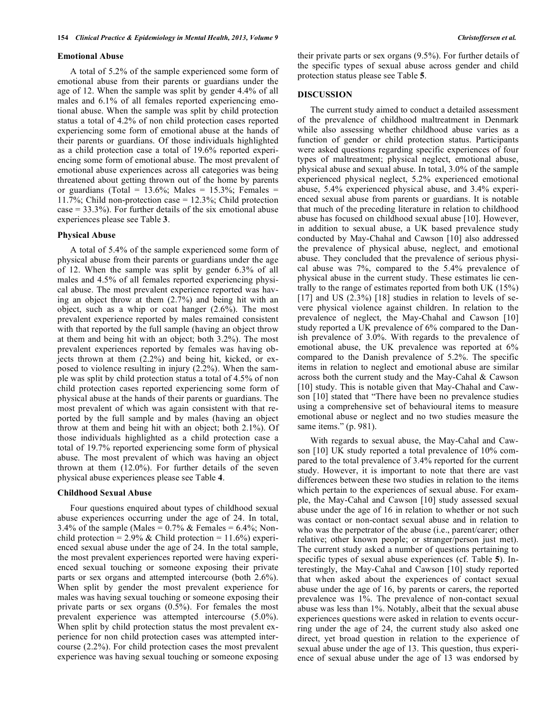#### **Emotional Abuse**

A total of 5.2% of the sample experienced some form of emotional abuse from their parents or guardians under the age of 12. When the sample was split by gender 4.4% of all males and 6.1% of all females reported experiencing emotional abuse. When the sample was split by child protection status a total of 4.2% of non child protection cases reported experiencing some form of emotional abuse at the hands of their parents or guardians. Of those individuals highlighted as a child protection case a total of 19.6% reported experiencing some form of emotional abuse. The most prevalent of emotional abuse experiences across all categories was being threatened about getting thrown out of the home by parents or guardians (Total =  $13.6\%$ ; Males =  $15.3\%$ ; Females = 11.7%; Child non-protection case = 12.3%; Child protection case = 33.3%). For further details of the six emotional abuse experiences please see Table **3**.

#### **Physical Abuse**

A total of 5.4% of the sample experienced some form of physical abuse from their parents or guardians under the age of 12. When the sample was split by gender 6.3% of all males and 4.5% of all females reported experiencing physical abuse. The most prevalent experience reported was having an object throw at them (2.7%) and being hit with an object, such as a whip or coat hanger (2.6%). The most prevalent experience reported by males remained consistent with that reported by the full sample (having an object throw at them and being hit with an object; both 3.2%). The most prevalent experiences reported by females was having objects thrown at them (2.2%) and being hit, kicked, or exposed to violence resulting in injury (2.2%). When the sample was split by child protection status a total of 4.5% of non child protection cases reported experiencing some form of physical abuse at the hands of their parents or guardians. The most prevalent of which was again consistent with that reported by the full sample and by males (having an object throw at them and being hit with an object; both 2.1%). Of those individuals highlighted as a child protection case a total of 19.7% reported experiencing some form of physical abuse. The most prevalent of which was having an object thrown at them (12.0%). For further details of the seven physical abuse experiences please see Table **4**.

#### **Childhood Sexual Abuse**

Four questions enquired about types of childhood sexual abuse experiences occurring under the age of 24. In total, 3.4% of the sample (Males =  $0.7\%$  & Females =  $6.4\%$ ; Nonchild protection =  $2.9\%$  & Child protection =  $11.6\%$ ) experienced sexual abuse under the age of 24. In the total sample, the most prevalent experiences reported were having experienced sexual touching or someone exposing their private parts or sex organs and attempted intercourse (both 2.6%). When split by gender the most prevalent experience for males was having sexual touching or someone exposing their private parts or sex organs (0.5%). For females the most prevalent experience was attempted intercourse (5.0%). When split by child protection status the most prevalent experience for non child protection cases was attempted intercourse (2.2%). For child protection cases the most prevalent experience was having sexual touching or someone exposing

their private parts or sex organs (9.5%). For further details of the specific types of sexual abuse across gender and child protection status please see Table **5**.

#### **DISCUSSION**

The current study aimed to conduct a detailed assessment of the prevalence of childhood maltreatment in Denmark while also assessing whether childhood abuse varies as a function of gender or child protection status. Participants were asked questions regarding specific experiences of four types of maltreatment; physical neglect, emotional abuse, physical abuse and sexual abuse. In total, 3.0% of the sample experienced physical neglect, 5.2% experienced emotional abuse, 5.4% experienced physical abuse, and 3.4% experienced sexual abuse from parents or guardians. It is notable that much of the preceding literature in relation to childhood abuse has focused on childhood sexual abuse [10]. However, in addition to sexual abuse, a UK based prevalence study conducted by May-Chahal and Cawson [10] also addressed the prevalence of physical abuse, neglect, and emotional abuse. They concluded that the prevalence of serious physical abuse was 7%, compared to the 5.4% prevalence of physical abuse in the current study. These estimates lie centrally to the range of estimates reported from both UK (15%)  $[17]$  and US  $(2.3\%)$   $[18]$  studies in relation to levels of severe physical violence against children. In relation to the prevalence of neglect, the May-Chahal and Cawson [10] study reported a UK prevalence of 6% compared to the Danish prevalence of 3.0%. With regards to the prevalence of emotional abuse, the UK prevalence was reported at 6% compared to the Danish prevalence of 5.2%. The specific items in relation to neglect and emotional abuse are similar across both the current study and the May-Cahal & Cawson [10] study. This is notable given that May-Chahal and Cawson [10] stated that "There have been no prevalence studies using a comprehensive set of behavioural items to measure emotional abuse or neglect and no two studies measure the same items." (p. 981).

With regards to sexual abuse, the May-Cahal and Cawson [10] UK study reported a total prevalence of 10% compared to the total prevalence of 3.4% reported for the current study. However, it is important to note that there are vast differences between these two studies in relation to the items which pertain to the experiences of sexual abuse. For example, the May-Cahal and Cawson [10] study assessed sexual abuse under the age of 16 in relation to whether or not such was contact or non-contact sexual abuse and in relation to who was the perpetrator of the abuse (i.e., parent/carer; other relative; other known people; or stranger/person just met). The current study asked a number of questions pertaining to specific types of sexual abuse experiences (cf. Table **5**). Interestingly, the May-Cahal and Cawson [10] study reported that when asked about the experiences of contact sexual abuse under the age of 16, by parents or carers, the reported prevalence was 1%. The prevalence of non-contact sexual abuse was less than 1%. Notably, albeit that the sexual abuse experiences questions were asked in relation to events occurring under the age of 24, the current study also asked one direct, yet broad question in relation to the experience of sexual abuse under the age of 13. This question, thus experience of sexual abuse under the age of 13 was endorsed by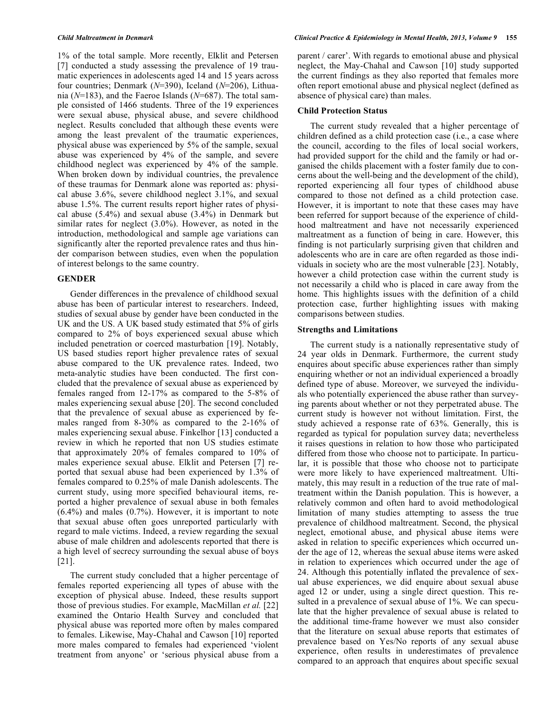1% of the total sample. More recently, Elklit and Petersen [7] conducted a study assessing the prevalence of 19 traumatic experiences in adolescents aged 14 and 15 years across four countries; Denmark (*N*=390), Iceland (*N*=206), Lithuania (*N*=183), and the Faeroe Islands (*N*=687). The total sample consisted of 1466 students. Three of the 19 experiences were sexual abuse, physical abuse, and severe childhood neglect. Results concluded that although these events were among the least prevalent of the traumatic experiences, physical abuse was experienced by 5% of the sample, sexual abuse was experienced by 4% of the sample, and severe childhood neglect was experienced by 4% of the sample. When broken down by individual countries, the prevalence of these traumas for Denmark alone was reported as: physical abuse 3.6%, severe childhood neglect 3.1%, and sexual abuse 1.5%. The current results report higher rates of physical abuse (5.4%) and sexual abuse (3.4%) in Denmark but similar rates for neglect (3.0%). However, as noted in the introduction, methodological and sample age variations can significantly alter the reported prevalence rates and thus hinder comparison between studies, even when the population of interest belongs to the same country.

#### **GENDER**

Gender differences in the prevalence of childhood sexual abuse has been of particular interest to researchers. Indeed, studies of sexual abuse by gender have been conducted in the UK and the US. A UK based study estimated that 5% of girls compared to 2% of boys experienced sexual abuse which included penetration or coerced masturbation [19]. Notably, US based studies report higher prevalence rates of sexual abuse compared to the UK prevalence rates. Indeed, two meta-analytic studies have been conducted. The first concluded that the prevalence of sexual abuse as experienced by females ranged from 12-17% as compared to the 5-8% of males experiencing sexual abuse [20]. The second concluded that the prevalence of sexual abuse as experienced by females ranged from 8-30% as compared to the 2-16% of males experiencing sexual abuse. Finkelhor [13] conducted a review in which he reported that non US studies estimate that approximately 20% of females compared to 10% of males experience sexual abuse. Elklit and Petersen [7] reported that sexual abuse had been experienced by 1.3% of females compared to 0.25% of male Danish adolescents. The current study, using more specified behavioural items, reported a higher prevalence of sexual abuse in both females (6.4%) and males (0.7%). However, it is important to note that sexual abuse often goes unreported particularly with regard to male victims. Indeed, a review regarding the sexual abuse of male children and adolescents reported that there is a high level of secrecy surrounding the sexual abuse of boys [21].

The current study concluded that a higher percentage of females reported experiencing all types of abuse with the exception of physical abuse. Indeed, these results support those of previous studies. For example, MacMillan *et al.* [22] examined the Ontario Health Survey and concluded that physical abuse was reported more often by males compared to females. Likewise, May-Chahal and Cawson [10] reported more males compared to females had experienced 'violent treatment from anyone' or 'serious physical abuse from a

parent / carer'. With regards to emotional abuse and physical neglect, the May-Chahal and Cawson [10] study supported the current findings as they also reported that females more often report emotional abuse and physical neglect (defined as absence of physical care) than males.

#### **Child Protection Status**

The current study revealed that a higher percentage of children defined as a child protection case (i.e., a case where the council, according to the files of local social workers, had provided support for the child and the family or had organised the childs placement with a foster family due to concerns about the well-being and the development of the child), reported experiencing all four types of childhood abuse compared to those not defined as a child protection case. However, it is important to note that these cases may have been referred for support because of the experience of childhood maltreatment and have not necessarily experienced maltreatment as a function of being in care. However, this finding is not particularly surprising given that children and adolescents who are in care are often regarded as those individuals in society who are the most vulnerable [23]. Notably, however a child protection case within the current study is not necessarily a child who is placed in care away from the home. This highlights issues with the definition of a child protection case, further highlighting issues with making comparisons between studies.

#### **Strengths and Limitations**

The current study is a nationally representative study of 24 year olds in Denmark. Furthermore, the current study enquires about specific abuse experiences rather than simply enquiring whether or not an individual experienced a broadly defined type of abuse. Moreover, we surveyed the individuals who potentially experienced the abuse rather than surveying parents about whether or not they perpetrated abuse. The current study is however not without limitation. First, the study achieved a response rate of 63%. Generally, this is regarded as typical for population survey data; nevertheless it raises questions in relation to how those who participated differed from those who choose not to participate. In particular, it is possible that those who choose not to participate were more likely to have experienced maltreatment. Ultimately, this may result in a reduction of the true rate of maltreatment within the Danish population. This is however, a relatively common and often hard to avoid methodological limitation of many studies attempting to assess the true prevalence of childhood maltreatment. Second, the physical neglect, emotional abuse, and physical abuse items were asked in relation to specific experiences which occurred under the age of 12, whereas the sexual abuse items were asked in relation to experiences which occurred under the age of 24. Although this potentially inflated the prevalence of sexual abuse experiences, we did enquire about sexual abuse aged 12 or under, using a single direct question. This resulted in a prevalence of sexual abuse of 1%. We can speculate that the higher prevalence of sexual abuse is related to the additional time-frame however we must also consider that the literature on sexual abuse reports that estimates of prevalence based on Yes/No reports of any sexual abuse experience, often results in underestimates of prevalence compared to an approach that enquires about specific sexual